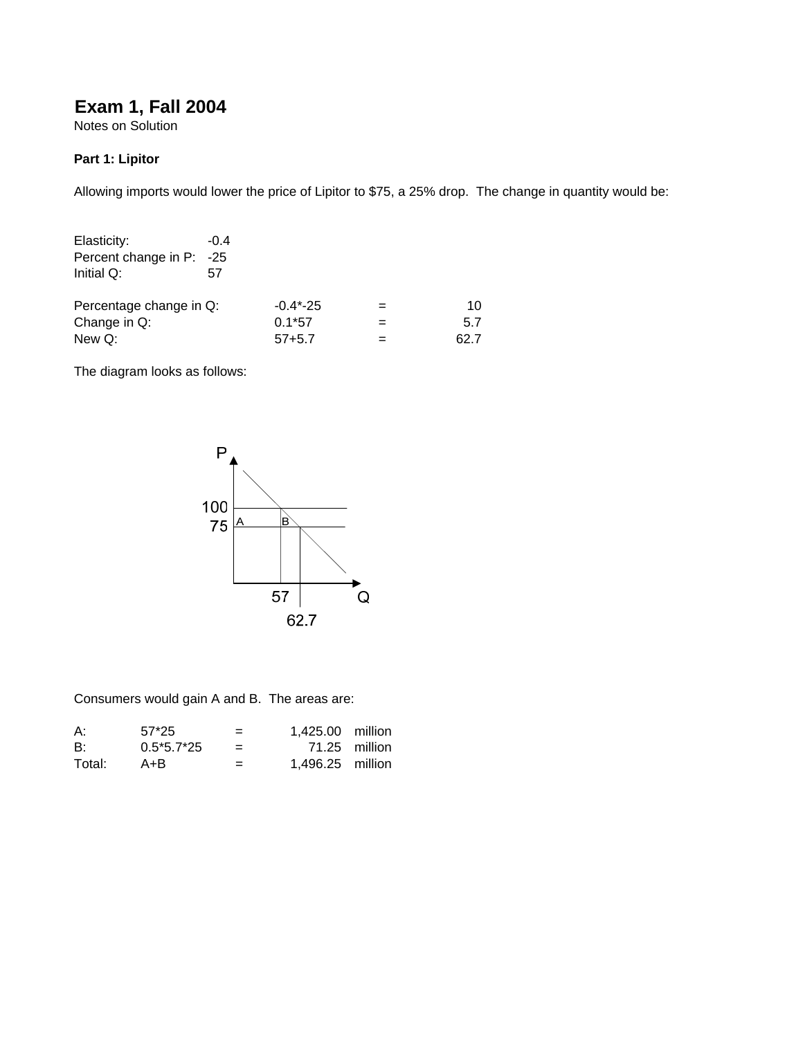# **Exam 1, Fall 2004**

Notes on Solution

#### **Part 1: Lipitor**

Allowing imports would lower the price of Lipitor to \$75, a 25% drop. The change in quantity would be:

| Elasticity:              | $-0.4$ |             |      |
|--------------------------|--------|-------------|------|
| Percent change in P: -25 |        |             |      |
| Initial Q:               | 57     |             |      |
| Percentage change in Q:  |        | $-0.4 - 25$ | 10   |
| Change in Q:             |        | $0.1*57$    | 5.7  |
| New Q:                   |        | $57 + 5.7$  | 62 7 |

The diagram looks as follows:



Consumers would gain A and B. The areas are:

| A:     | $57*25$      | $=$ | 1.425.00 million |               |
|--------|--------------|-----|------------------|---------------|
| B:     | $0.5*5.7*25$ | $=$ |                  | 71.25 million |
| Total: | A+B          | $=$ | 1.496.25 million |               |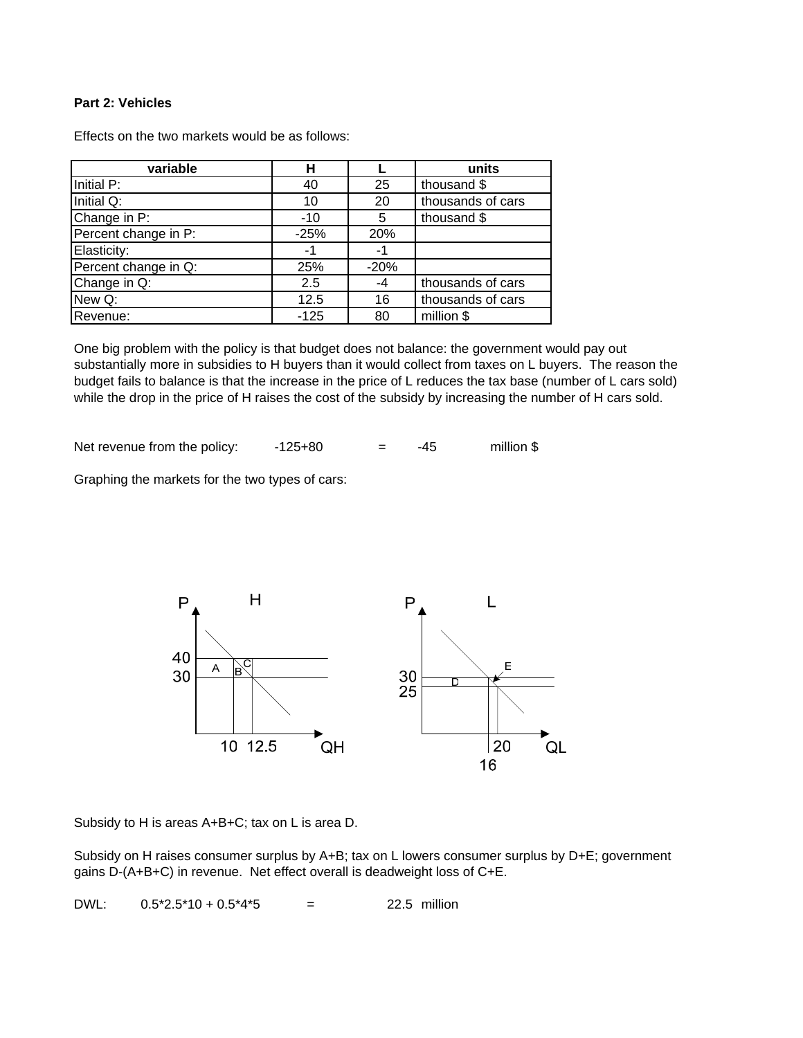## **Part 2: Vehicles**

Effects on the two markets would be as follows:

| variable             | н      |        | units             |
|----------------------|--------|--------|-------------------|
| Initial P:           | 40     | 25     | thousand \$       |
| Initial Q:           | 10     | 20     | thousands of cars |
| Change in P:         | $-10$  | 5      | thousand \$       |
| Percent change in P: | $-25%$ | 20%    |                   |
| Elasticity:          | -1     | -1     |                   |
| Percent change in Q: | 25%    | $-20%$ |                   |
| Change in Q:         | 2.5    | -4     | thousands of cars |
| New Q:               | 12.5   | 16     | thousands of cars |
| Revenue:             | $-125$ | 80     | million \$        |

One big problem with the policy is that budget does not balance: the government would pay out substantially more in subsidies to H buyers than it would collect from taxes on L buyers. The reason the budget fails to balance is that the increase in the price of L reduces the tax base (number of L cars sold) while the drop in the price of H raises the cost of the subsidy by increasing the number of H cars sold.

 $-125+80 = -45$  million \$ Net revenue from the policy:

Graphing the markets for the two types of cars:



Subsidy to H is areas A+B+C; tax on L is area D.

Subsidy on H raises consumer surplus by A+B; tax on L lowers consumer surplus by D+E; government gains D-(A+B+C) in revenue. Net effect overall is deadweight loss of C+E.

DWL:  $0.5^*2.5^*10 + 0.5^*4^*5 = 22.5$  million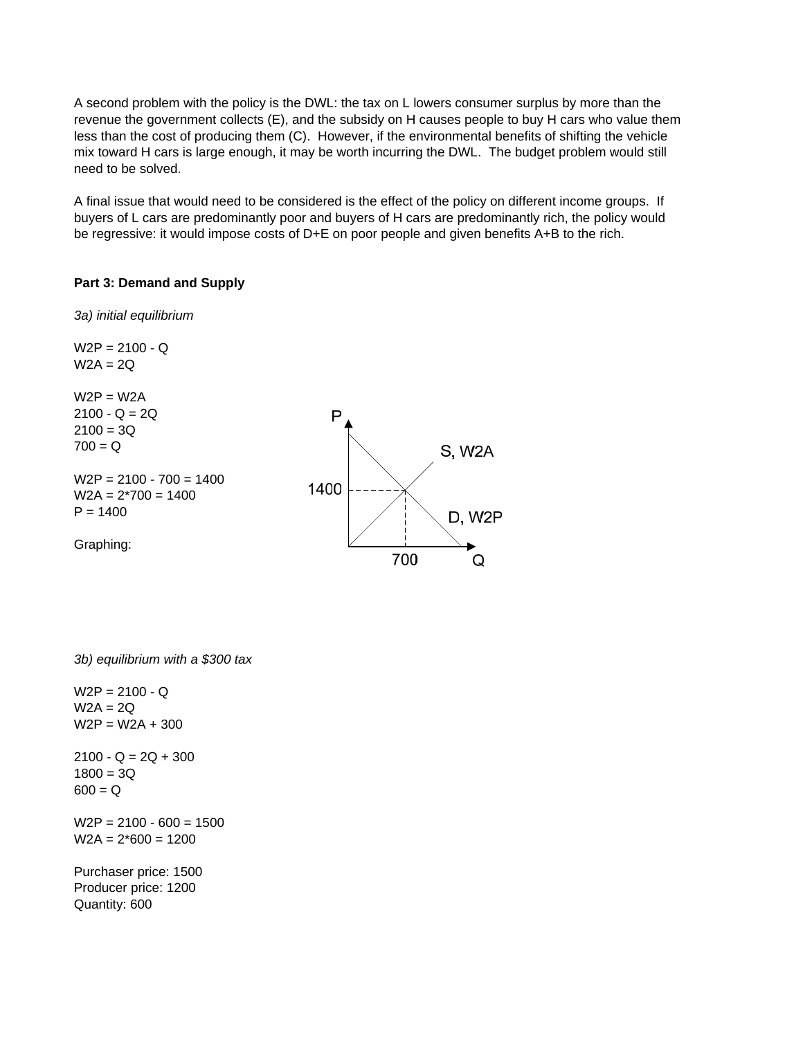A second problem with the policy is the DWL: the tax on L lowers consumer surplus by more than the revenue the government collects (E), and the subsidy on H causes people to buy H cars who value them less than the cost of producing them (C). However, if the environmental benefits of shifting the vehicle mix toward H cars is large enough, it may be worth incurring the DWL. The budget problem would still need to be solved.

A final issue that would need to be considered is the effect of the policy on different income groups. If buyers of L cars are predominantly poor and buyers of H cars are predominantly rich, the policy would be regressive: it would impose costs of D+E on poor people and given benefits A+B to the rich.

#### **Part 3: Demand and Supply**

*3a) initial equilibrium*

 $W2P = 2100 - Q$  $W2A = 2Q$  $W2P = W2A$  $2100 - Q = 2Q$ P  $2100 = 3Q$  $700 = Q$ **S. W2A**  $W2P = 2100 - 700 = 1400$ 1400  $W2A = 2*700 = 1400$  $P = 1400$ D, W<sub>2</sub>P Graphing: 700  $\mathsf Q$ 

*3b) equilibrium with a \$300 tax*

 $W2P = W2A + 300$  $2100 - Q = 2Q + 300$  $1800 = 3Q$  $600 = Q$  $W2P = 2100 - 600 = 1500$  $W2A = 2*600 = 1200$ Purchaser price: 1500 Producer price: 1200

Quantity: 600

 $W2A = 2Q$  $W2P = 2100 - Q$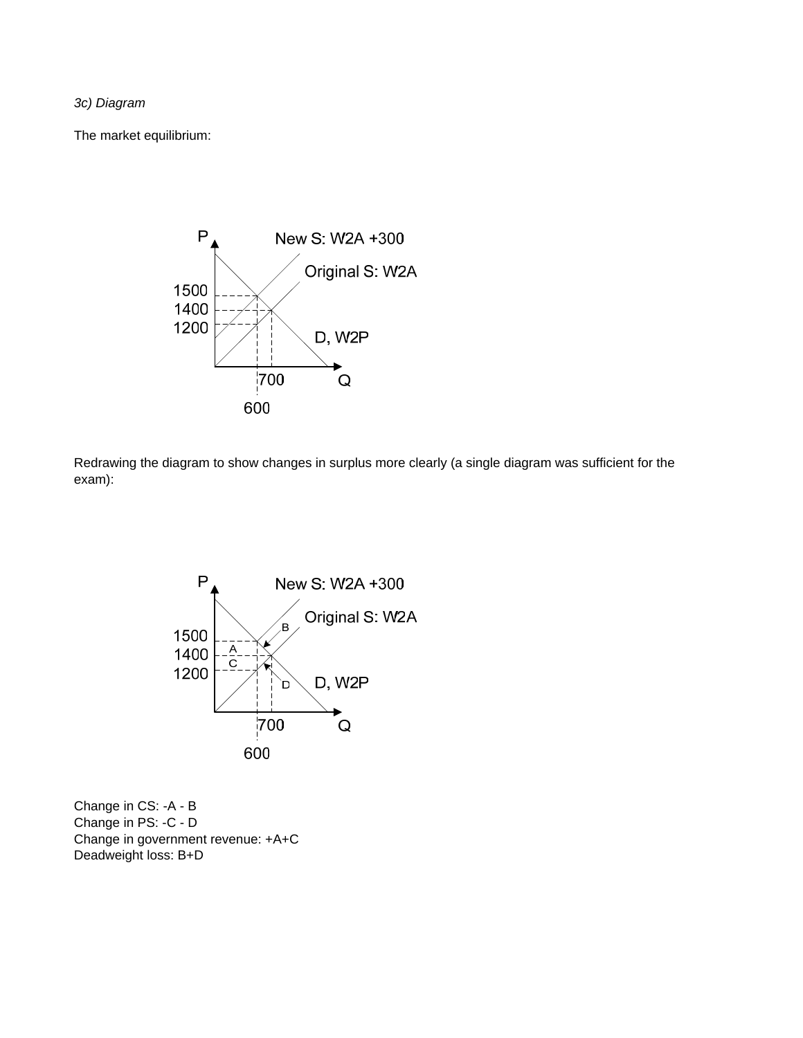*3c) Diagram*

The market equilibrium:



Redrawing the diagram to show changes in surplus more clearly (a single diagram was sufficient for the exam):



Change in CS: -A - B Change in PS: -C - D Change in government revenue: +A+C Deadweight loss: B+D